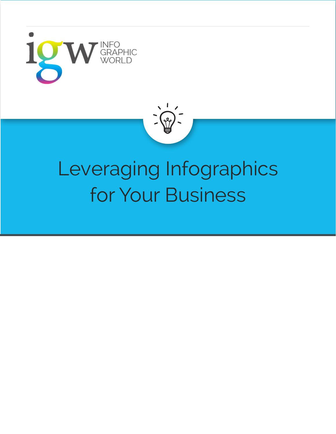



## Leveraging Infographics for Your Business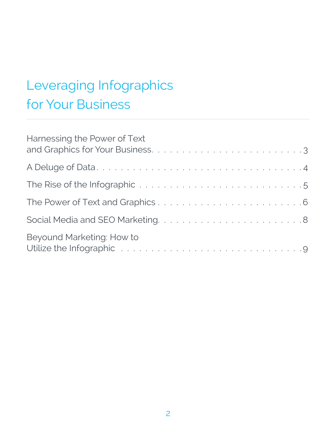## Leveraging Infographics for Your Business

| Harnessing the Power of Text                                                                                                                   |
|------------------------------------------------------------------------------------------------------------------------------------------------|
|                                                                                                                                                |
|                                                                                                                                                |
|                                                                                                                                                |
|                                                                                                                                                |
| Beyound Marketing: How to<br>Utilize the Infographic Terms and all and the contract of the Infographic Terms and all and the University of the |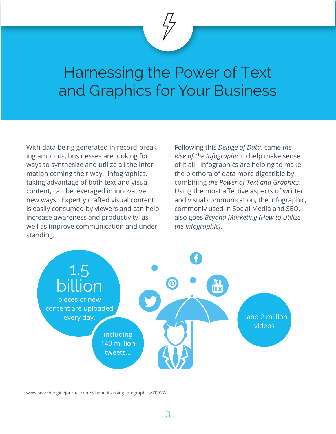

With data being generated in record-breaking amounts, businesses are looking for ways to synthesize and utilize all the information coming their way. Infographics, taking advantage of both text and visual content, can be leveraged in innovative new ways. Expertly crafted visual content is easily consumed by viewers and can help increase awareness and productivity, as well as improve communication and understanding.

Following this *Deluge of Data*, came *the Rise of the Infographic* to help make sense of it all. Infographics are helping to make the plethora of data more digestible by combining *the Power of Text and Graphics*. Using the most affective aspects of written and visual communication, the infographic, commonly used in Social Media and SEO, also goes *Beyond Marketing (How to Utilize the Infographic)*.



www.searchenginejournal.com/6-benefits-using-infographics/70917/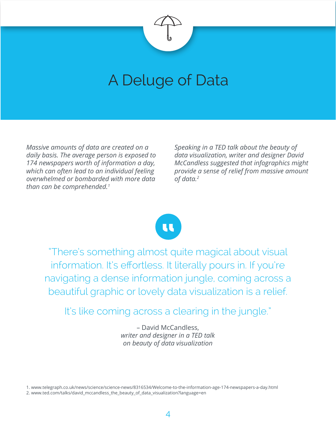

## A Deluge of Data

*Massive amounts of data are created on a daily basis. The average person is exposed to 174 newspapers worth of information a day, which can often lead to an individual feeling overwhelmed or bombarded with more data than can be comprehended.1* 

*Speaking in a TED talk about the beauty of data visualization, writer and designer David McCandless suggested that infographics might provide a sense of relief from massive amount of data.2*



"There's something almost quite magical about visual information. It's effortless. It literally pours in. If you're navigating a dense information jungle, coming across a beautiful graphic or lovely data visualization is a relief.

It's like coming across a clearing in the jungle."

– David McCandless, *writer and designer in a TED talk on beauty of data visualization*

1. www.telegraph.co.uk/news/science/science-news/8316534/Welcome-to-the-information-age-174-newspapers-a-day.html 2. www.ted.com/talks/david\_mccandless\_the\_beauty\_of\_data\_visualization?language=en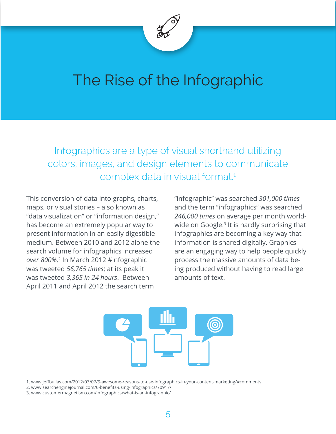

## The Rise of the Infographic

Infographics are a type of visual shorthand utilizing colors, images, and design elements to communicate complex data in visual format.<sup>1</sup>

This conversion of data into graphs, charts, maps, or visual stories – also known as "data visualization" or "information design," has become an extremely popular way to present information in an easily digestible medium. Between 2010 and 2012 alone the search volume for infographics increased *over 800%*. 2 In March 2012 #infographic was tweeted *56,765 times*; at its peak it was tweeted *3,365 in 24 hours*. Between April 2011 and April 2012 the search term

"infographic" was searched *301,000 times* and the term "infographics" was searched *246,000 times* on average per month worldwide on Google.<sup>3</sup> It is hardly surprising that infographics are becoming a key way that information is shared digitally. Graphics are an engaging way to help people quickly process the massive amounts of data being produced without having to read large amounts of text.



<sup>1.</sup> www.jeffbullas.com/2012/03/07/9-awesome-reasons-to-use-infographics-in-your-content-marketing/#comments

2. www.searchenginejournal.com/6-benefits-using-infographics/70917/

<sup>3.</sup> www.customermagnetism.com/infographics/what-is-an-infographic/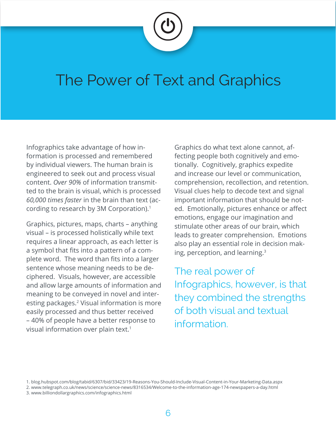

### The Power of Text and Graphics

Infographics take advantage of how information is processed and remembered by individual viewers. The human brain is engineered to seek out and process visual content. *Over 90%* of information transmitted to the brain is visual, which is processed *60,000 times faster* in the brain than text (according to research by 3M Corporation).<sup>1</sup>

Graphics, pictures, maps, charts – anything visual – is processed holistically while text requires a linear approach, as each letter is a symbol that fits into a pattern of a complete word. The word than fits into a larger sentence whose meaning needs to be deciphered. Visuals, however, are accessible and allow large amounts of information and meaning to be conveyed in novel and interesting packages.<sup>2</sup> Visual information is more easily processed and thus better received – 40% of people have a better response to visual information over plain text.<sup>1</sup>

Graphics do what text alone cannot, affecting people both cognitively and emotionally. Cognitively, graphics expedite and increase our level or communication, comprehension, recollection, and retention. Visual clues help to decode text and signal important information that should be noted. Emotionally, pictures enhance or affect emotions, engage our imagination and stimulate other areas of our brain, which leads to greater comprehension. Emotions also play an essential role in decision making, perception, and learning.3

The real power of Infographics, however, is that they combined the strengths of both visual and textual information.

<sup>1.</sup> blog.hubspot.com/blog/tabid/6307/bid/33423/19-Reasons-You-Should-Include-Visual-Content-in-Your-Marketing-Data.aspx

<sup>2.</sup> www.telegraph.co.uk/news/science/science-news/8316534/Welcome-to-the-information-age-174-newspapers-a-day.html

<sup>3.</sup> www.billiondollargraphics.com/infographics.html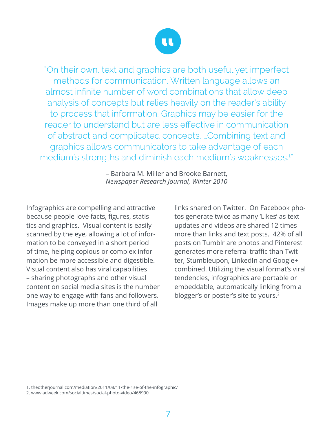

"On their own, text and graphics are both useful yet imperfect methods for communication. Written language allows an almost infinite number of word combinations that allow deep analysis of concepts but relies heavily on the reader's ability to process that information. Graphics may be easier for the reader to understand but are less effective in communication of abstract and complicated concepts. …Combining text and graphics allows communicators to take advantage of each medium's strengths and diminish each medium's weaknesses.<sup>1"</sup>

> – Barbara M. Miller and Brooke Barnett, *Newspaper Research Journal, Winter 2010*

Infographics are compelling and attractive because people love facts, figures, statistics and graphics. Visual content is easily scanned by the eye, allowing a lot of information to be conveyed in a short period of time, helping copious or complex information be more accessible and digestible. Visual content also has viral capabilities – sharing photographs and other visual content on social media sites is the number one way to engage with fans and followers. Images make up more than one third of all

links shared on Twitter. On Facebook photos generate twice as many 'Likes' as text updates and videos are shared 12 times more than links and text posts. 42% of all posts on Tumblr are photos and Pinterest generates more referral traffic than Twitter, Stumbleupon, LinkedIn and Google+ combined. Utilizing the visual format's viral tendencies, infographics are portable or embeddable, automatically linking from a blogger's or poster's site to yours.<sup>2</sup>

1. theotherjournal.com/mediation/2011/08/11/the-rise-of-the-infographic/

2. www.adweek.com/socialtimes/social-photo-video/468990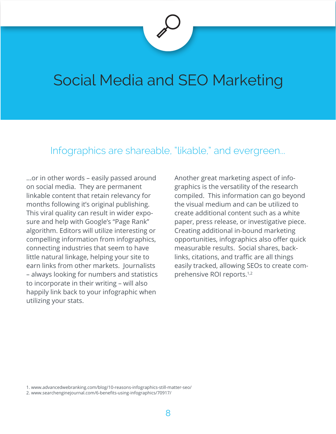## Social Media and SEO Marketing

#### Infographics are shareable, "likable," and evergreen...

...or in other words – easily passed around on social media. They are permanent linkable content that retain relevancy for months following it's original publishing. This viral quality can result in wider exposure and help with Google's "Page Rank" algorithm. Editors will utilize interesting or compelling information from infographics, connecting industries that seem to have little natural linkage, helping your site to earn links from other markets. Journalists – always looking for numbers and statistics to incorporate in their writing – will also happily link back to your infographic when utilizing your stats.

Another great marketing aspect of infographics is the versatility of the research compiled. This information can go beyond the visual medium and can be utilized to create additional content such as a white paper, press release, or investigative piece. Creating additional in-bound marketing opportunities, infographics also offer quick measurable results. Social shares, backlinks, citations, and traffic are all things easily tracked, allowing SEOs to create comprehensive ROI reports.<sup>1,2</sup>

2. www.searchenginejournal.com/6-benefits-using-infographics/70917/

<sup>1.</sup> www.advancedwebranking.com/blog/10-reasons-infographics-still-matter-seo/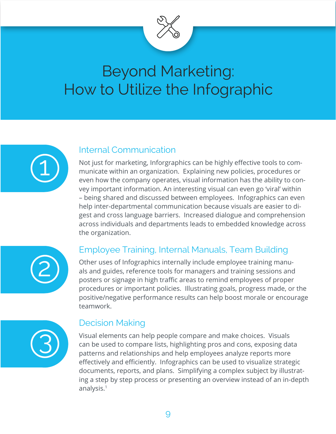

## Beyond Marketing: How to Utilize the Infographic



#### Internal Communication

Not just for marketing, Inforgraphics can be highly effective tools to communicate within an organization. Explaining new policies, procedures or even how the company operates, visual information has the ability to convey important information. An interesting visual can even go 'viral' within – being shared and discussed between employees. Infographics can even help inter-departmental communication because visuals are easier to digest and cross language barriers. Increased dialogue and comprehension across individuals and departments leads to embedded knowledge across the organization.



#### Employee Training, Internal Manuals, Team Building

Other uses of Infographics internally include employee training manuals and guides, reference tools for managers and training sessions and posters or signage in high traffic areas to remind employees of proper procedures or important policies. Illustrating goals, progress made, or the positive/negative performance results can help boost morale or encourage teamwork.



#### Decision Making

Visual elements can help people compare and make choices. Visuals can be used to compare lists, highlighting pros and cons, exposing data patterns and relationships and help employees analyze reports more effectively and efficiently. Infographics can be used to visualize strategic documents, reports, and plans. Simplifying a complex subject by illustrating a step by step process or presenting an overview instead of an in-depth analysis.1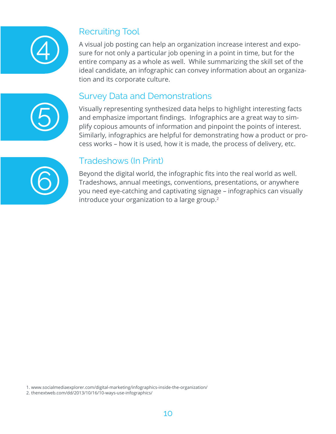

#### Recruiting Tool

A visual job posting can help an organization increase interest and exposure for not only a particular job opening in a point in time, but for the entire company as a whole as well. While summarizing the skill set of the ideal candidate, an infographic can convey information about an organization and its corporate culture.

# 5

#### Survey Data and Demonstrations

Visually representing synthesized data helps to highlight interesting facts and emphasize important findings. Infographics are a great way to simplify copious amounts of information and pinpoint the points of interest. Similarly, infographics are helpful for demonstrating how a product or process works – how it is used, how it is made, the process of delivery, etc.



#### Tradeshows (In Print)

Beyond the digital world, the infographic fits into the real world as well. Tradeshows, annual meetings, conventions, presentations, or anywhere you need eye-catching and captivating signage – infographics can visually introduce your organization to a large group. $2$ 

1. www.socialmediaexplorer.com/digital-marketing/infographics-inside-the-organization/

2. thenextweb.com/dd/2013/10/16/10-ways-use-infographics/